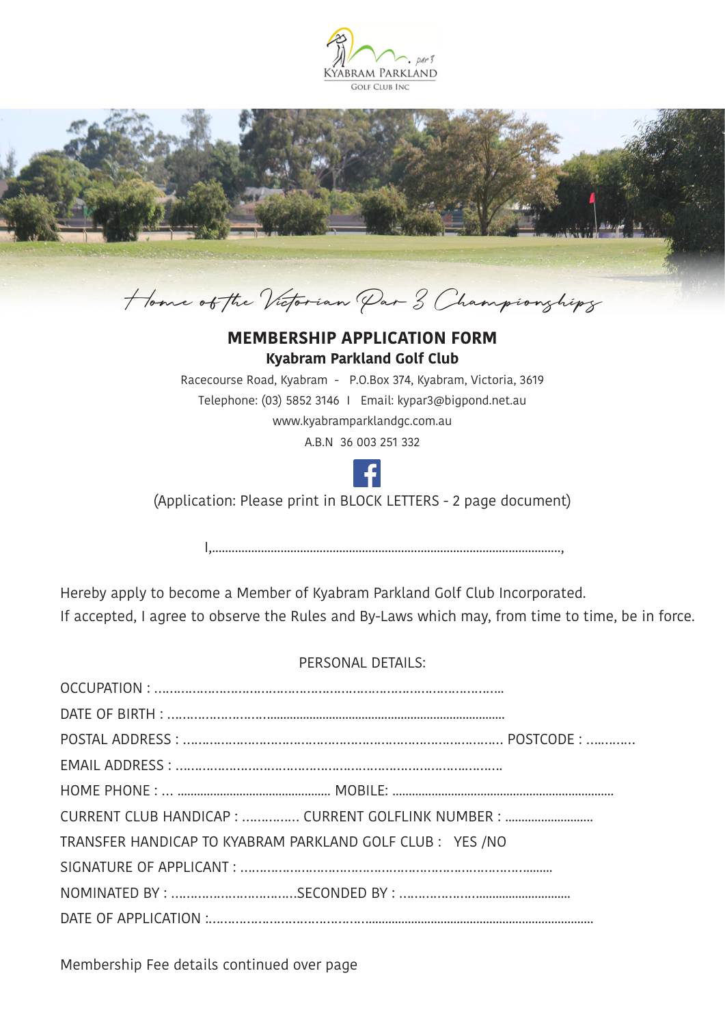



## **MEMBERSHIP APPLICATION FORM Kyabram Parkland Golf Club**

Racecourse Road, Kyabram - P.O.Box 374, Kyabram, Victoria, 3619 Telephone: (03) 5852 3146 I Email: kypar3@bigpond.net.au www.kyabramparklandgc.com.au A.B.N 36 003 251 332



(Application: Please print in BLOCK LETTERS - 2 page document)

I,...........................................................................................................,

Hereby apply to become a Member of Kyabram Parkland Golf Club Incorporated. If accepted, I agree to observe the Rules and By-Laws which may, from time to time, be in force.

## PERSONAL DETAILS:

| CURRENT CLUB HANDICAP :  CURRENT GOLFLINK NUMBER :       |
|----------------------------------------------------------|
| TRANSFER HANDICAP TO KYABRAM PARKLAND GOLF CLUB: YES /NO |
|                                                          |
|                                                          |
|                                                          |
|                                                          |

Membership Fee details continued over page